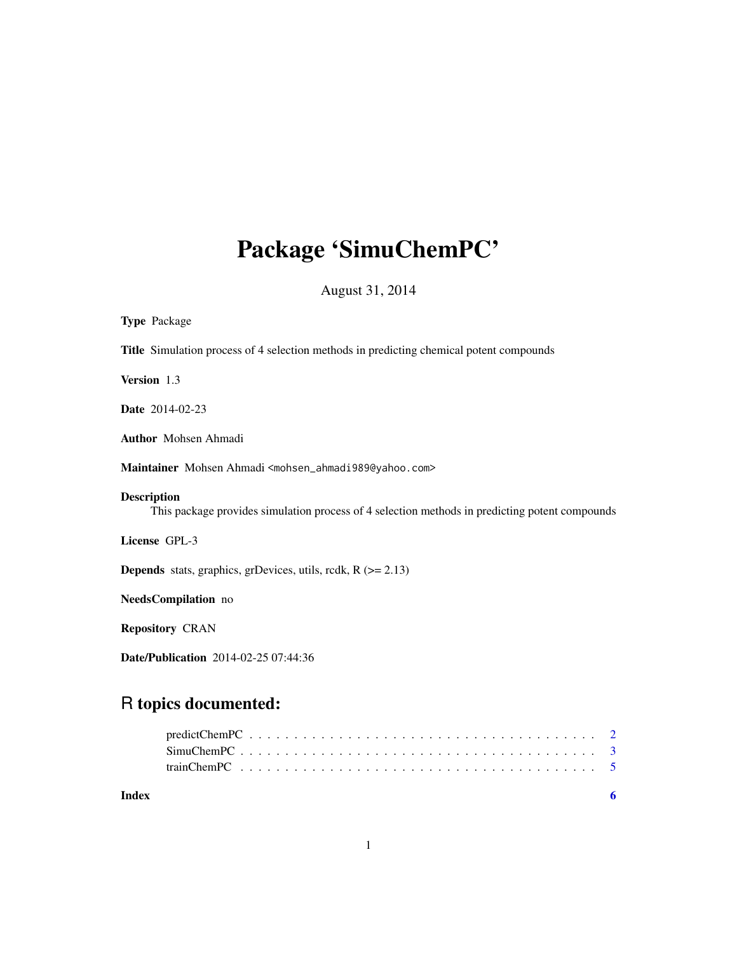# Package 'SimuChemPC'

August 31, 2014

| <b>Type Package</b>                                                                                                  |
|----------------------------------------------------------------------------------------------------------------------|
| <b>Title</b> Simulation process of 4 selection methods in predicting chemical potent compounds                       |
| Version 1.3                                                                                                          |
| <b>Date</b> 2014-02-23                                                                                               |
| <b>Author</b> Mohsen Ahmadi                                                                                          |
| Maintainer Mohsen Ahmadi <mohsen_ahmadi989@yahoo.com></mohsen_ahmadi989@yahoo.com>                                   |
| <b>Description</b><br>This package provides simulation process of 4 selection methods in predicting potent compounds |
| License GPL-3                                                                                                        |
| <b>Depends</b> stats, graphics, grDevices, utils, rcdk, $R$ ( $> = 2.13$ )                                           |
| NeedsCompilation no                                                                                                  |
| <b>Repository CRAN</b>                                                                                               |

Date/Publication 2014-02-25 07:44:36

# R topics documented:

| Index |  |  |  |  |  |  |  |  |  |  |  |  |  |  |  |  |  |
|-------|--|--|--|--|--|--|--|--|--|--|--|--|--|--|--|--|--|
|       |  |  |  |  |  |  |  |  |  |  |  |  |  |  |  |  |  |
|       |  |  |  |  |  |  |  |  |  |  |  |  |  |  |  |  |  |
|       |  |  |  |  |  |  |  |  |  |  |  |  |  |  |  |  |  |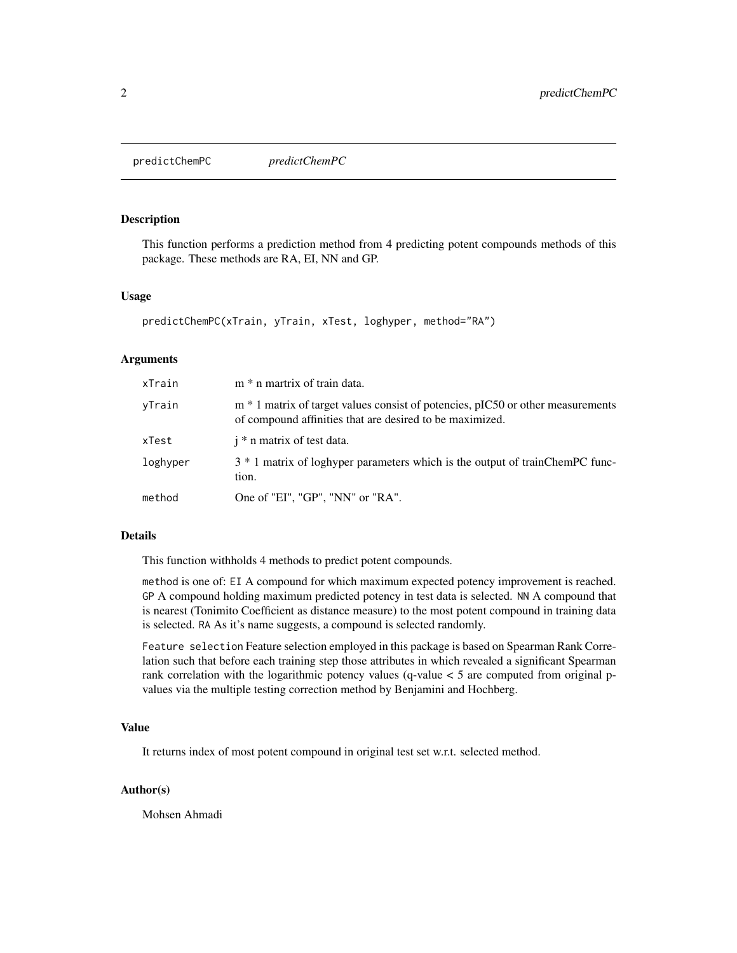<span id="page-1-0"></span>predictChemPC *predictChemPC*

# Description

This function performs a prediction method from 4 predicting potent compounds methods of this package. These methods are RA, EI, NN and GP.

# Usage

```
predictChemPC(xTrain, yTrain, xTest, loghyper, method="RA")
```
#### Arguments

| xTrain   | m * n martrix of train data.                                                                                                                |
|----------|---------------------------------------------------------------------------------------------------------------------------------------------|
| vTrain   | m * 1 matrix of target values consist of potencies, pIC50 or other measurements<br>of compound affinities that are desired to be maximized. |
| xTest    | $i^*$ n matrix of test data.                                                                                                                |
| loghyper | 3 * 1 matrix of loghyper parameters which is the output of trainChemPC func-<br>tion.                                                       |
| method   | One of "EI", "GP", "NN" or "RA".                                                                                                            |

# Details

This function withholds 4 methods to predict potent compounds.

method is one of: EI A compound for which maximum expected potency improvement is reached. GP A compound holding maximum predicted potency in test data is selected. NN A compound that is nearest (Tonimito Coefficient as distance measure) to the most potent compound in training data is selected. RA As it's name suggests, a compound is selected randomly.

Feature selection Feature selection employed in this package is based on Spearman Rank Correlation such that before each training step those attributes in which revealed a significant Spearman rank correlation with the logarithmic potency values (q-value < 5 are computed from original pvalues via the multiple testing correction method by Benjamini and Hochberg.

#### Value

It returns index of most potent compound in original test set w.r.t. selected method.

#### Author(s)

Mohsen Ahmadi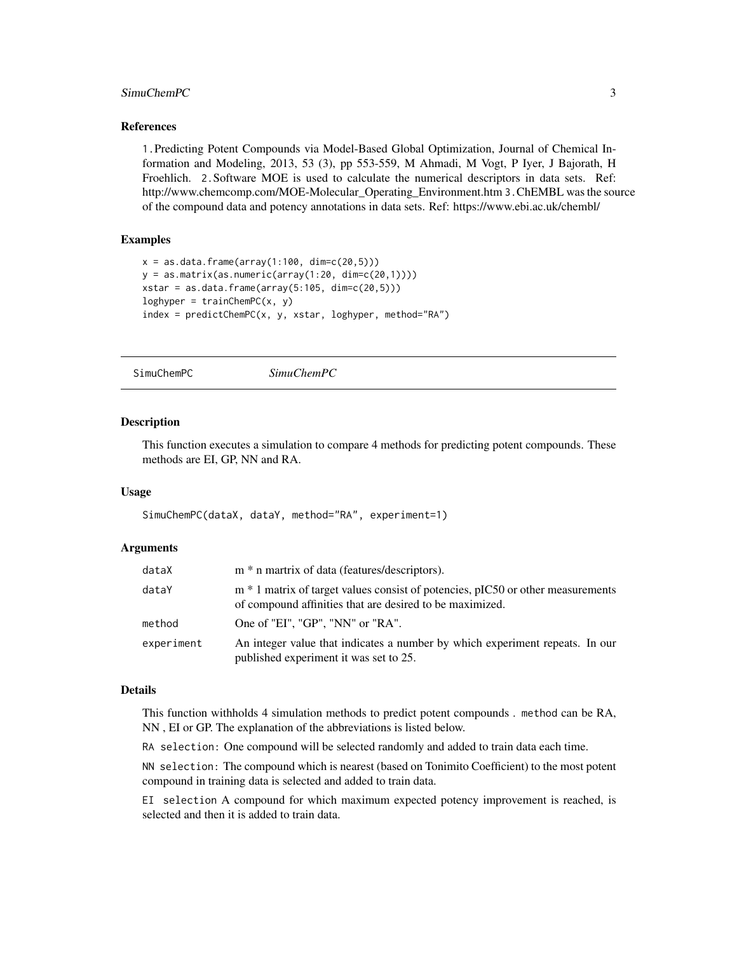# <span id="page-2-0"></span>SimuChemPC 3

#### References

1.Predicting Potent Compounds via Model-Based Global Optimization, Journal of Chemical Information and Modeling, 2013, 53 (3), pp 553-559, M Ahmadi, M Vogt, P Iyer, J Bajorath, H Froehlich. 2.Software MOE is used to calculate the numerical descriptors in data sets. Ref: http://www.chemcomp.com/MOE-Molecular\_Operating\_Environment.htm 3.ChEMBL was the source of the compound data and potency annotations in data sets. Ref: https://www.ebi.ac.uk/chembl/

# Examples

```
x = as.data-frame(array(1:100, dim=c(20,5)))y = as.matrix(as.numeric(array(1:20, dim=c(20,1))))xstar = as.data-frame(array(5:105, dim=c(20,5)))loghyper = trainChemPC(x, y)index = predictChemPC(x, y, xstar, loghyper, method="RA")
```
SimuChemPC *SimuChemPC*

#### Description

This function executes a simulation to compare 4 methods for predicting potent compounds. These methods are EI, GP, NN and RA.

#### Usage

SimuChemPC(dataX, dataY, method="RA", experiment=1)

# Arguments

| dataX      | m * n martrix of data (features/descriptors).                                                                                               |
|------------|---------------------------------------------------------------------------------------------------------------------------------------------|
| dataY      | m * 1 matrix of target values consist of potencies, pIC50 or other measurements<br>of compound affinities that are desired to be maximized. |
| method     | One of "EI". "GP". "NN" or "RA".                                                                                                            |
| experiment | An integer value that indicates a number by which experiment repeats. In our<br>published experiment it was set to 25.                      |

# Details

This function withholds 4 simulation methods to predict potent compounds . method can be RA, NN , EI or GP. The explanation of the abbreviations is listed below.

RA selection: One compound will be selected randomly and added to train data each time.

NN selection: The compound which is nearest (based on Tonimito Coefficient) to the most potent compound in training data is selected and added to train data.

EI selection A compound for which maximum expected potency improvement is reached, is selected and then it is added to train data.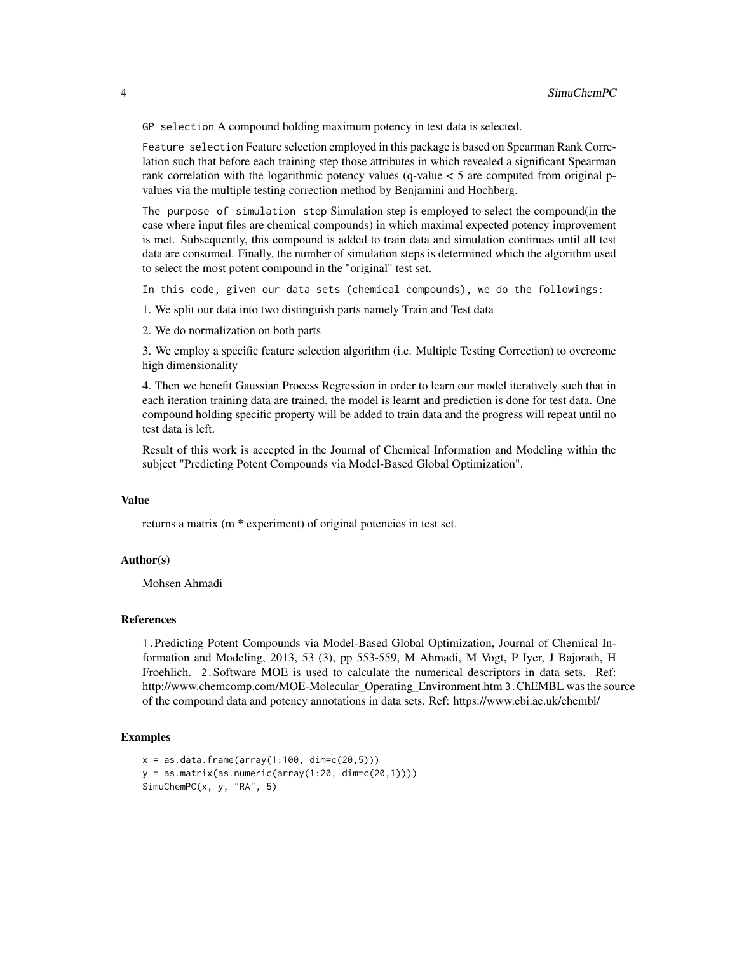GP selection A compound holding maximum potency in test data is selected.

Feature selection Feature selection employed in this package is based on Spearman Rank Correlation such that before each training step those attributes in which revealed a significant Spearman rank correlation with the logarithmic potency values  $(q$ -value  $< 5$  are computed from original pvalues via the multiple testing correction method by Benjamini and Hochberg.

The purpose of simulation step Simulation step is employed to select the compound(in the case where input files are chemical compounds) in which maximal expected potency improvement is met. Subsequently, this compound is added to train data and simulation continues until all test data are consumed. Finally, the number of simulation steps is determined which the algorithm used to select the most potent compound in the "original" test set.

In this code, given our data sets (chemical compounds), we do the followings:

1. We split our data into two distinguish parts namely Train and Test data

2. We do normalization on both parts

3. We employ a specific feature selection algorithm (i.e. Multiple Testing Correction) to overcome high dimensionality

4. Then we benefit Gaussian Process Regression in order to learn our model iteratively such that in each iteration training data are trained, the model is learnt and prediction is done for test data. One compound holding specific property will be added to train data and the progress will repeat until no test data is left.

Result of this work is accepted in the Journal of Chemical Information and Modeling within the subject "Predicting Potent Compounds via Model-Based Global Optimization".

#### Value

returns a matrix (m \* experiment) of original potencies in test set.

# Author(s)

Mohsen Ahmadi

#### References

1.Predicting Potent Compounds via Model-Based Global Optimization, Journal of Chemical Information and Modeling, 2013, 53 (3), pp 553-559, M Ahmadi, M Vogt, P Iyer, J Bajorath, H Froehlich. 2.Software MOE is used to calculate the numerical descriptors in data sets. Ref: http://www.chemcomp.com/MOE-Molecular\_Operating\_Environment.htm 3.ChEMBL was the source of the compound data and potency annotations in data sets. Ref: https://www.ebi.ac.uk/chembl/

# Examples

```
x = as.data-frame(array(1:100, dim=c(20,5)))y = as.matrix(as.numeric(array(1:20, dim=c(20,1))))
SimuChemPC(x, y, "RA", 5)
```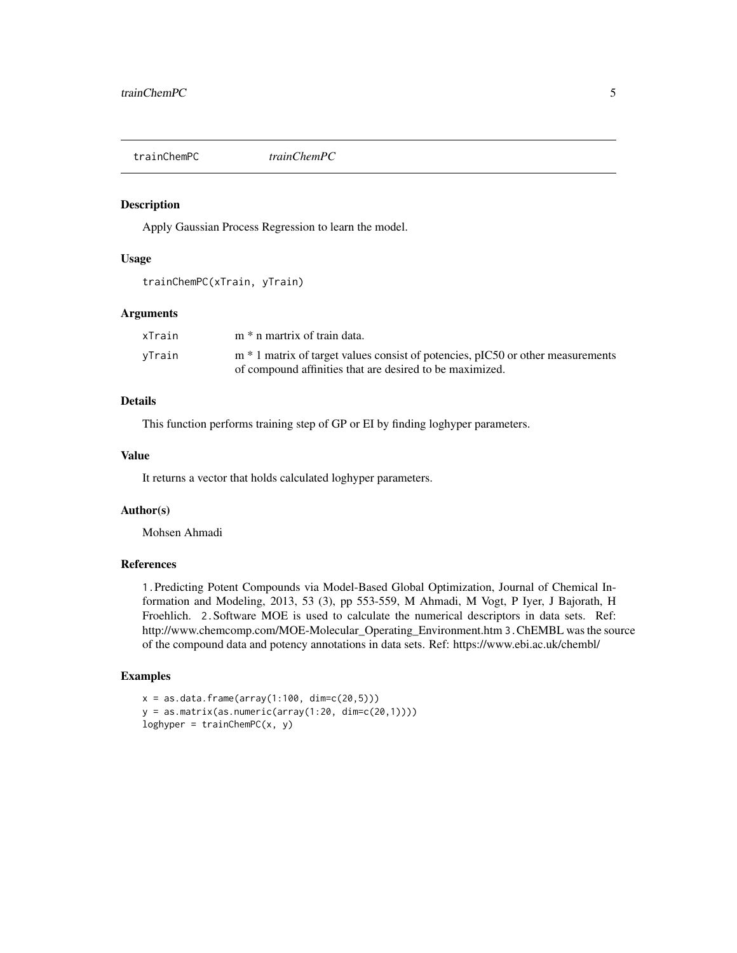<span id="page-4-0"></span>

# Description

Apply Gaussian Process Regression to learn the model.

# Usage

```
trainChemPC(xTrain, yTrain)
```
# Arguments

| xTrain | m * n martrix of train data.                                                      |
|--------|-----------------------------------------------------------------------------------|
| vTrain | $m * 1$ matrix of target values consist of potencies, pIC50 or other measurements |
|        | of compound affinities that are desired to be maximized.                          |

# Details

This function performs training step of GP or EI by finding loghyper parameters.

# Value

It returns a vector that holds calculated loghyper parameters.

# Author(s)

Mohsen Ahmadi

#### References

1.Predicting Potent Compounds via Model-Based Global Optimization, Journal of Chemical Information and Modeling, 2013, 53 (3), pp 553-559, M Ahmadi, M Vogt, P Iyer, J Bajorath, H Froehlich. 2.Software MOE is used to calculate the numerical descriptors in data sets. Ref: http://www.chemcomp.com/MOE-Molecular\_Operating\_Environment.htm 3.ChEMBL was the source of the compound data and potency annotations in data sets. Ref: https://www.ebi.ac.uk/chembl/

#### Examples

```
x = as.data-frame(array(1:100, dim=c(20,5)))y = as.matrix(as.numeric(array(1:20, dim=c(20,1))))loghyper = trainChemPC(x, y)
```